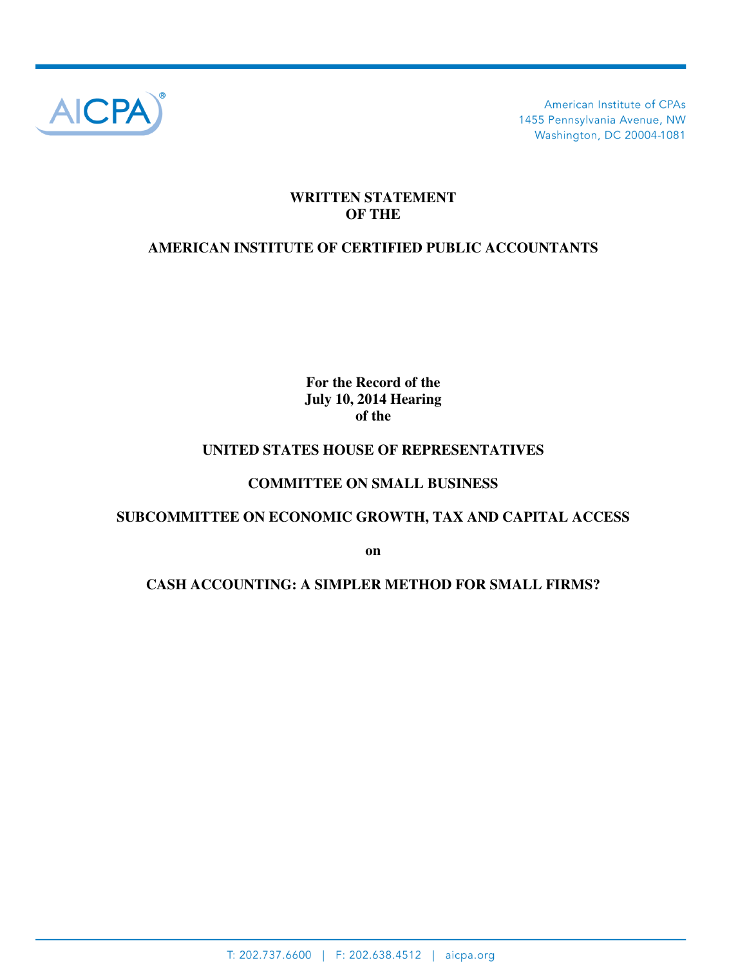

American Institute of CPAs 1455 Pennsylvania Avenue, NW Washington, DC 20004-1081

## **WRITTEN STATEMENT OF THE**

# **AMERICAN INSTITUTE OF CERTIFIED PUBLIC ACCOUNTANTS**

**For the Record of the July 10, 2014 Hearing of the** 

### **UNITED STATES HOUSE OF REPRESENTATIVES**

### **COMMITTEE ON SMALL BUSINESS**

## **SUBCOMMITTEE ON ECONOMIC GROWTH, TAX AND CAPITAL ACCESS**

**on** 

## **CASH ACCOUNTING: A SIMPLER METHOD FOR SMALL FIRMS?**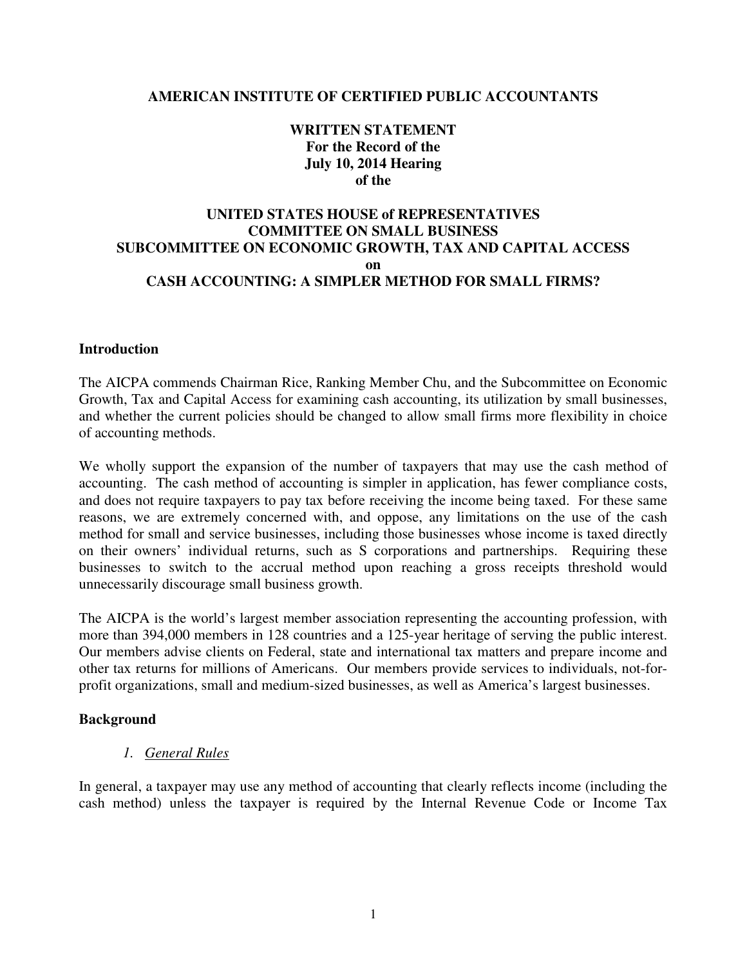### **AMERICAN INSTITUTE OF CERTIFIED PUBLIC ACCOUNTANTS**

### **WRITTEN STATEMENT For the Record of the July 10, 2014 Hearing of the**

## **UNITED STATES HOUSE of REPRESENTATIVES COMMITTEE ON SMALL BUSINESS SUBCOMMITTEE ON ECONOMIC GROWTH, TAX AND CAPITAL ACCESS on CASH ACCOUNTING: A SIMPLER METHOD FOR SMALL FIRMS?**

#### **Introduction**

The AICPA commends Chairman Rice, Ranking Member Chu, and the Subcommittee on Economic Growth, Tax and Capital Access for examining cash accounting, its utilization by small businesses, and whether the current policies should be changed to allow small firms more flexibility in choice of accounting methods.

We wholly support the expansion of the number of taxpayers that may use the cash method of accounting. The cash method of accounting is simpler in application, has fewer compliance costs, and does not require taxpayers to pay tax before receiving the income being taxed. For these same reasons, we are extremely concerned with, and oppose, any limitations on the use of the cash method for small and service businesses, including those businesses whose income is taxed directly on their owners' individual returns, such as S corporations and partnerships. Requiring these businesses to switch to the accrual method upon reaching a gross receipts threshold would unnecessarily discourage small business growth.

The AICPA is the world's largest member association representing the accounting profession, with more than 394,000 members in 128 countries and a 125-year heritage of serving the public interest. Our members advise clients on Federal, state and international tax matters and prepare income and other tax returns for millions of Americans. Our members provide services to individuals, not-forprofit organizations, small and medium-sized businesses, as well as America's largest businesses.

#### **Background**

#### *1. General Rules*

In general, a taxpayer may use any method of accounting that clearly reflects income (including the cash method) unless the taxpayer is required by the Internal Revenue Code or Income Tax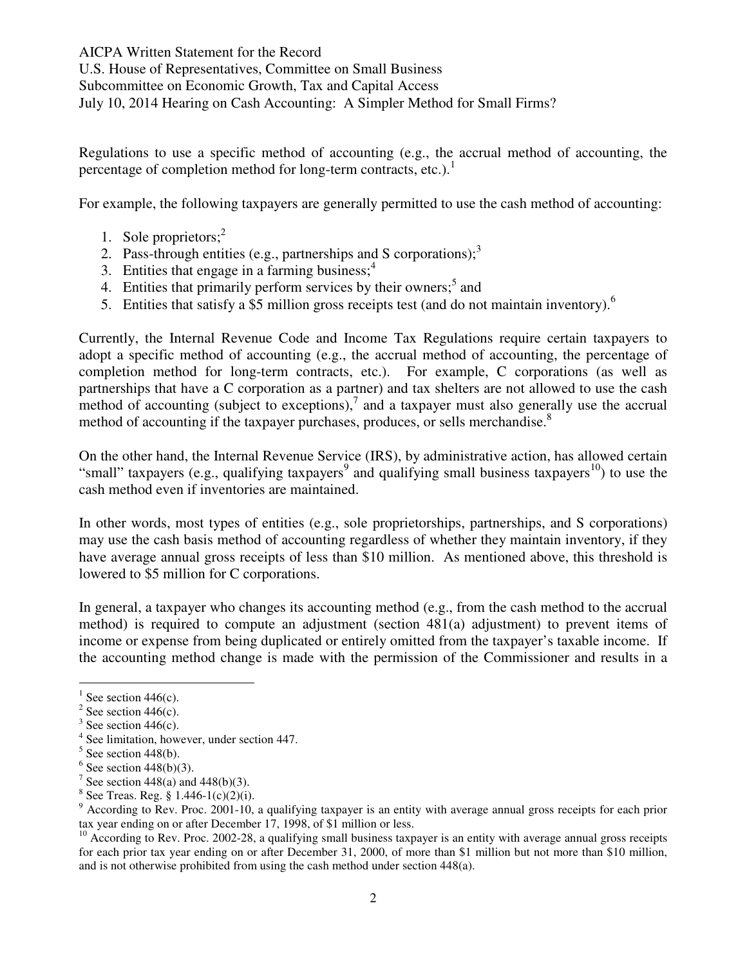Regulations to use a specific method of accounting (e.g., the accrual method of accounting, the percentage of completion method for long-term contracts, etc.).<sup>1</sup>

For example, the following taxpayers are generally permitted to use the cash method of accounting:

- 1. Sole proprietors; $<sup>2</sup>$ </sup>
- 2. Pass-through entities (e.g., partnerships and S corporations); $3$
- 3. Entities that engage in a farming business; $<sup>4</sup>$ </sup>
- 4. Entities that primarily perform services by their owners;<sup>5</sup> and
- 5. Entities that satisfy a \$5 million gross receipts test (and do not maintain inventory).<sup>6</sup>

Currently, the Internal Revenue Code and Income Tax Regulations require certain taxpayers to adopt a specific method of accounting (e.g., the accrual method of accounting, the percentage of completion method for long-term contracts, etc.). For example, C corporations (as well as partnerships that have a C corporation as a partner) and tax shelters are not allowed to use the cash method of accounting (subject to exceptions), $^7$  and a taxpayer must also generally use the accrual method of accounting if the taxpayer purchases, produces, or sells merchandise.<sup>8</sup>

On the other hand, the Internal Revenue Service (IRS), by administrative action, has allowed certain "small" taxpayers (e.g., qualifying taxpayers<sup>9</sup> and qualifying small business taxpayers<sup>10</sup>) to use the cash method even if inventories are maintained.

In other words, most types of entities (e.g., sole proprietorships, partnerships, and S corporations) may use the cash basis method of accounting regardless of whether they maintain inventory, if they have average annual gross receipts of less than \$10 million. As mentioned above, this threshold is lowered to \$5 million for C corporations.

In general, a taxpayer who changes its accounting method (e.g., from the cash method to the accrual method) is required to compute an adjustment (section 481(a) adjustment) to prevent items of income or expense from being duplicated or entirely omitted from the taxpayer's taxable income. If the accounting method change is made with the permission of the Commissioner and results in a

l

<sup>&</sup>lt;sup>1</sup> See section 446(c).

 $2$  See section 446(c).

 $3$  See section 446(c).

<sup>4</sup> See limitation, however, under section 447.

 $5$  See section 448(b).

 $6$  See section 448(b)(3).

<sup>&</sup>lt;sup>7</sup> See section 448(a) and 448(b)(3).

 $8$  See Treas. Reg. § 1.446-1(c)(2)(i).

<sup>&</sup>lt;sup>9</sup> According to Rev. Proc. 2001-10, a qualifying taxpayer is an entity with average annual gross receipts for each prior tax year ending on or after December 17, 1998, of \$1 million or less.

 $10$  According to Rev. Proc. 2002-28, a qualifying small business taxpayer is an entity with average annual gross receipts for each prior tax year ending on or after December 31, 2000, of more than \$1 million but not more than \$10 million, and is not otherwise prohibited from using the cash method under section 448(a).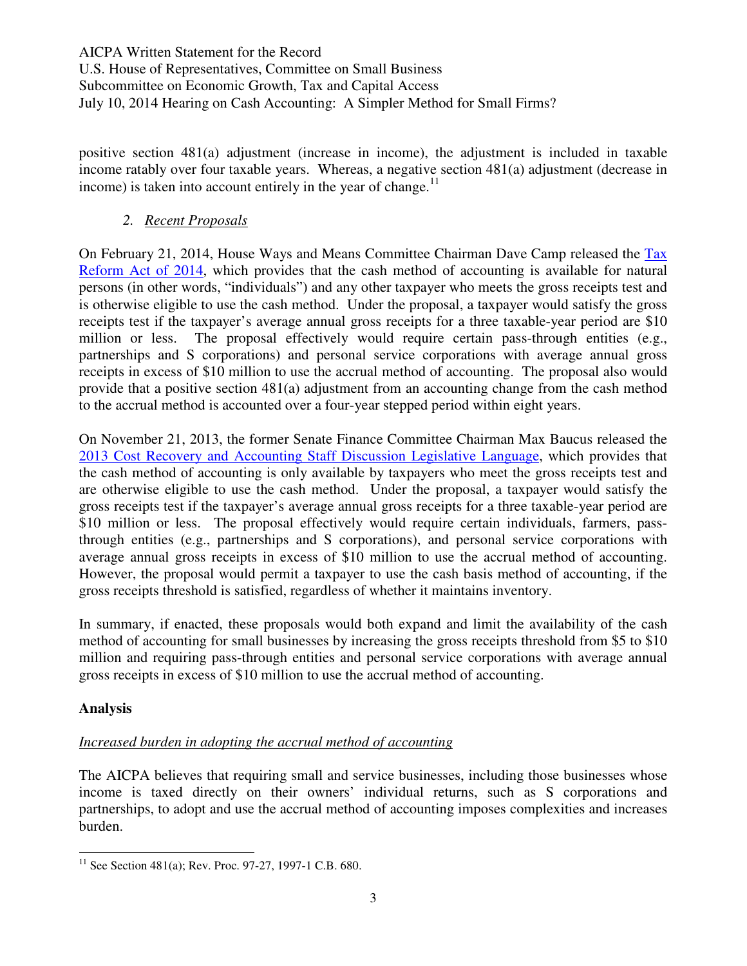positive section 481(a) adjustment (increase in income), the adjustment is included in taxable income ratably over four taxable years. Whereas, a negative section 481(a) adjustment (decrease in income) is taken into account entirely in the year of change. $11$ 

## *2. Recent Proposals*

On February 21, 2014, House Ways and Means Committee Chairman Dave Camp released the Tax Reform Act of 2014, which provides that the cash method of accounting is available for natural persons (in other words, "individuals") and any other taxpayer who meets the gross receipts test and is otherwise eligible to use the cash method. Under the proposal, a taxpayer would satisfy the gross receipts test if the taxpayer's average annual gross receipts for a three taxable-year period are \$10 million or less. The proposal effectively would require certain pass-through entities (e.g., partnerships and S corporations) and personal service corporations with average annual gross receipts in excess of \$10 million to use the accrual method of accounting. The proposal also would provide that a positive section 481(a) adjustment from an accounting change from the cash method to the accrual method is accounted over a four-year stepped period within eight years.

On November 21, 2013, the former Senate Finance Committee Chairman Max Baucus released the 2013 Cost Recovery and Accounting Staff Discussion Legislative Language, which provides that the cash method of accounting is only available by taxpayers who meet the gross receipts test and are otherwise eligible to use the cash method. Under the proposal, a taxpayer would satisfy the gross receipts test if the taxpayer's average annual gross receipts for a three taxable-year period are \$10 million or less. The proposal effectively would require certain individuals, farmers, passthrough entities (e.g., partnerships and S corporations), and personal service corporations with average annual gross receipts in excess of \$10 million to use the accrual method of accounting. However, the proposal would permit a taxpayer to use the cash basis method of accounting, if the gross receipts threshold is satisfied, regardless of whether it maintains inventory.

In summary, if enacted, these proposals would both expand and limit the availability of the cash method of accounting for small businesses by increasing the gross receipts threshold from \$5 to \$10 million and requiring pass-through entities and personal service corporations with average annual gross receipts in excess of \$10 million to use the accrual method of accounting.

## **Analysis**

 $\overline{a}$ 

# *Increased burden in adopting the accrual method of accounting*

The AICPA believes that requiring small and service businesses, including those businesses whose income is taxed directly on their owners' individual returns, such as S corporations and partnerships, to adopt and use the accrual method of accounting imposes complexities and increases burden.

<sup>&</sup>lt;sup>11</sup> See Section 481(a); Rev. Proc. 97-27, 1997-1 C.B. 680.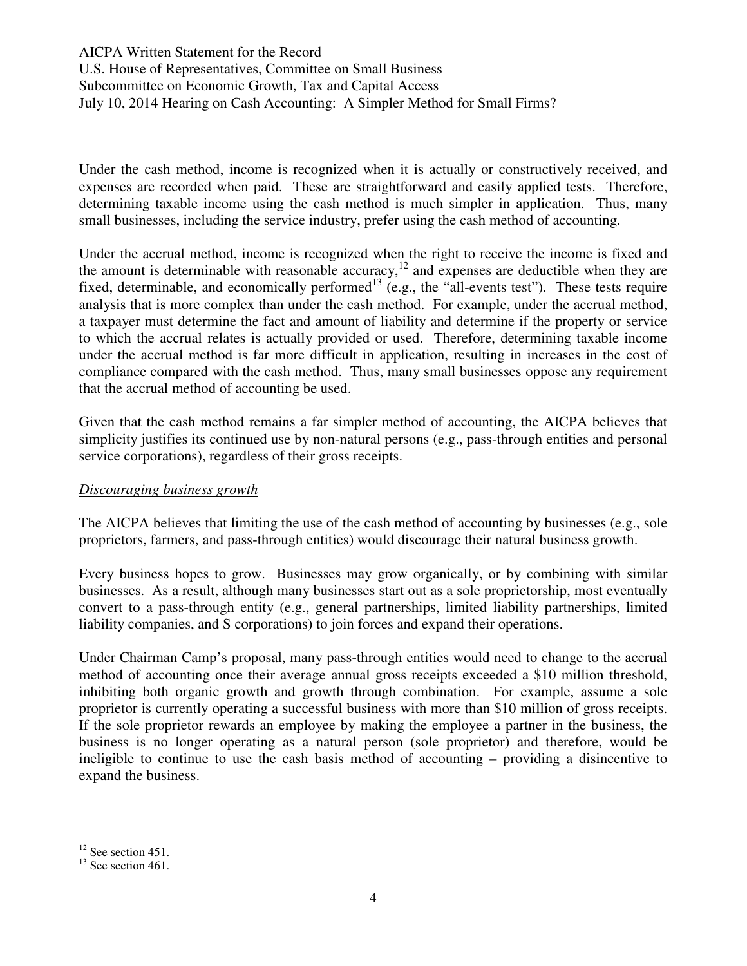Under the cash method, income is recognized when it is actually or constructively received, and expenses are recorded when paid. These are straightforward and easily applied tests. Therefore, determining taxable income using the cash method is much simpler in application. Thus, many small businesses, including the service industry, prefer using the cash method of accounting.

Under the accrual method, income is recognized when the right to receive the income is fixed and the amount is determinable with reasonable accuracy,<sup>12</sup> and expenses are deductible when they are fixed, determinable, and economically performed<sup>13</sup> (e.g., the "all-events test"). These tests require analysis that is more complex than under the cash method. For example, under the accrual method, a taxpayer must determine the fact and amount of liability and determine if the property or service to which the accrual relates is actually provided or used. Therefore, determining taxable income under the accrual method is far more difficult in application, resulting in increases in the cost of compliance compared with the cash method. Thus, many small businesses oppose any requirement that the accrual method of accounting be used.

Given that the cash method remains a far simpler method of accounting, the AICPA believes that simplicity justifies its continued use by non-natural persons (e.g., pass-through entities and personal service corporations), regardless of their gross receipts.

### *Discouraging business growth*

The AICPA believes that limiting the use of the cash method of accounting by businesses (e.g., sole proprietors, farmers, and pass-through entities) would discourage their natural business growth.

Every business hopes to grow. Businesses may grow organically, or by combining with similar businesses. As a result, although many businesses start out as a sole proprietorship, most eventually convert to a pass-through entity (e.g., general partnerships, limited liability partnerships, limited liability companies, and S corporations) to join forces and expand their operations.

Under Chairman Camp's proposal, many pass-through entities would need to change to the accrual method of accounting once their average annual gross receipts exceeded a \$10 million threshold, inhibiting both organic growth and growth through combination. For example, assume a sole proprietor is currently operating a successful business with more than \$10 million of gross receipts. If the sole proprietor rewards an employee by making the employee a partner in the business, the business is no longer operating as a natural person (sole proprietor) and therefore, would be ineligible to continue to use the cash basis method of accounting – providing a disincentive to expand the business.

 $\overline{a}$ 

 $12$  See section 451.

 $13$  See section 461.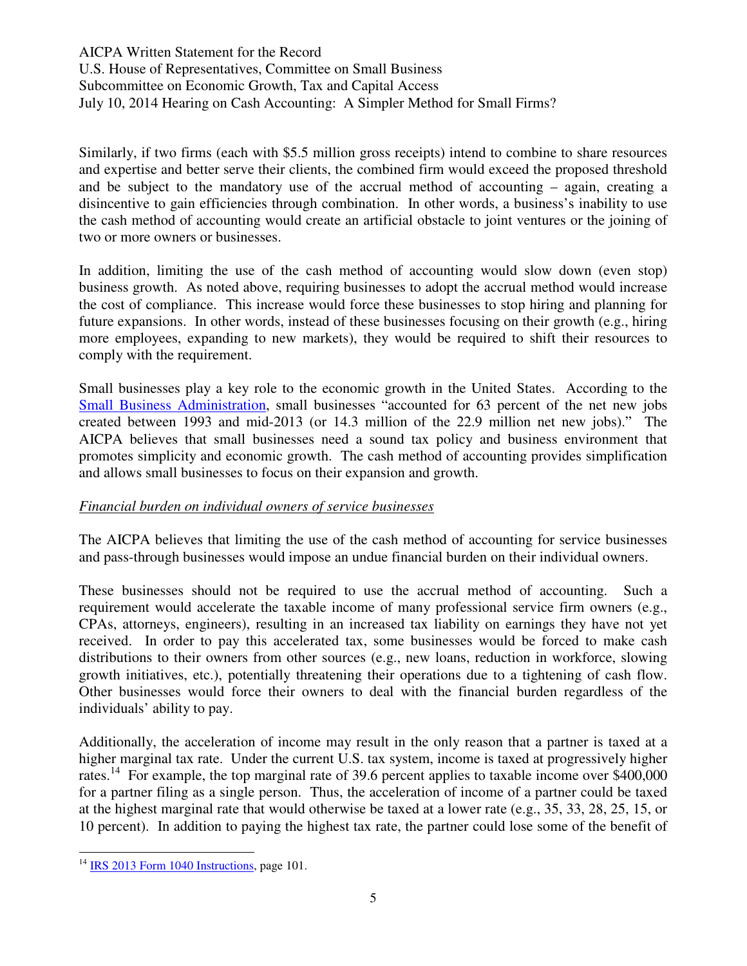Similarly, if two firms (each with \$5.5 million gross receipts) intend to combine to share resources and expertise and better serve their clients, the combined firm would exceed the proposed threshold and be subject to the mandatory use of the accrual method of accounting – again, creating a disincentive to gain efficiencies through combination. In other words, a business's inability to use the cash method of accounting would create an artificial obstacle to joint ventures or the joining of two or more owners or businesses.

In addition, limiting the use of the cash method of accounting would slow down (even stop) business growth. As noted above, requiring businesses to adopt the accrual method would increase the cost of compliance. This increase would force these businesses to stop hiring and planning for future expansions. In other words, instead of these businesses focusing on their growth (e.g., hiring more employees, expanding to new markets), they would be required to shift their resources to comply with the requirement.

Small businesses play a key role to the economic growth in the United States. According to the Small Business Administration, small businesses "accounted for 63 percent of the net new jobs created between 1993 and mid-2013 (or 14.3 million of the 22.9 million net new jobs)." The AICPA believes that small businesses need a sound tax policy and business environment that promotes simplicity and economic growth. The cash method of accounting provides simplification and allows small businesses to focus on their expansion and growth.

### *Financial burden on individual owners of service businesses*

The AICPA believes that limiting the use of the cash method of accounting for service businesses and pass-through businesses would impose an undue financial burden on their individual owners.

These businesses should not be required to use the accrual method of accounting. Such a requirement would accelerate the taxable income of many professional service firm owners (e.g., CPAs, attorneys, engineers), resulting in an increased tax liability on earnings they have not yet received. In order to pay this accelerated tax, some businesses would be forced to make cash distributions to their owners from other sources (e.g., new loans, reduction in workforce, slowing growth initiatives, etc.), potentially threatening their operations due to a tightening of cash flow. Other businesses would force their owners to deal with the financial burden regardless of the individuals' ability to pay.

Additionally, the acceleration of income may result in the only reason that a partner is taxed at a higher marginal tax rate. Under the current U.S. tax system, income is taxed at progressively higher rates.<sup>14</sup> For example, the top marginal rate of 39.6 percent applies to taxable income over \$400,000 for a partner filing as a single person. Thus, the acceleration of income of a partner could be taxed at the highest marginal rate that would otherwise be taxed at a lower rate (e.g., 35, 33, 28, 25, 15, or 10 percent). In addition to paying the highest tax rate, the partner could lose some of the benefit of

 $\overline{a}$ 

 $14$  IRS 2013 Form 1040 Instructions, page 101.